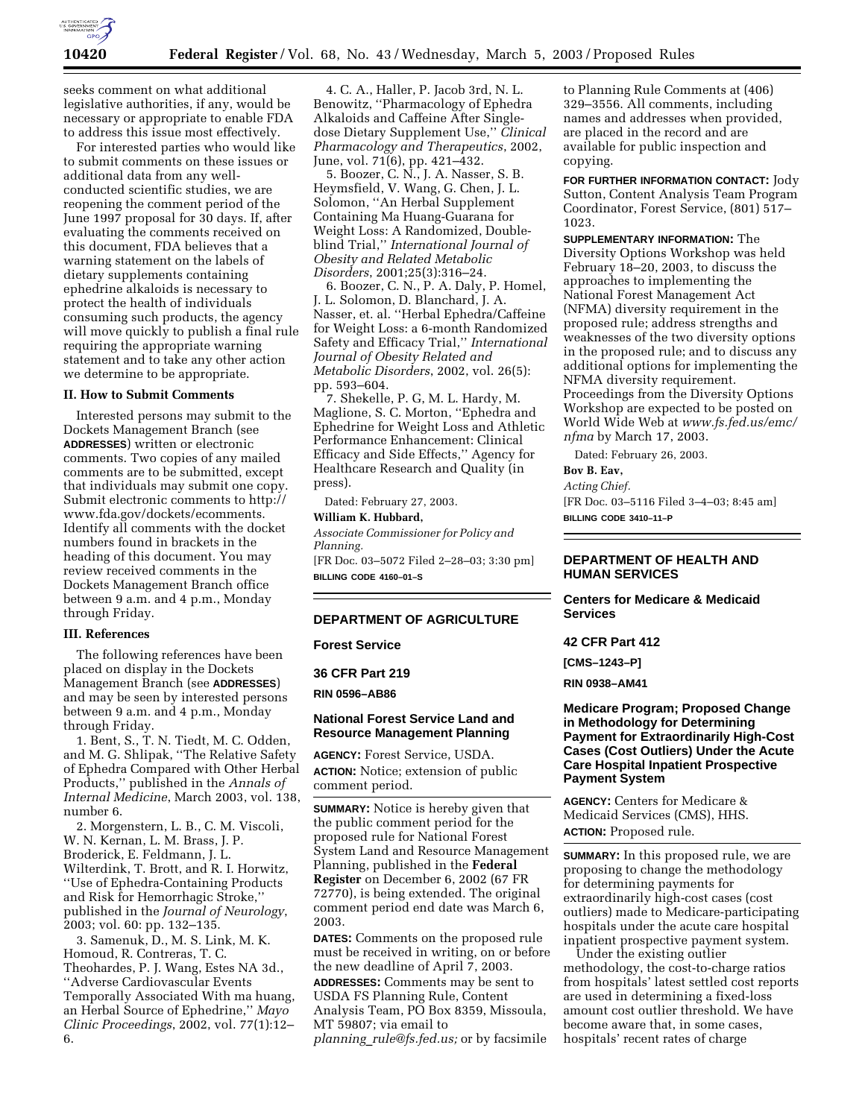

seeks comment on what additional legislative authorities, if any, would be necessary or appropriate to enable FDA to address this issue most effectively.

For interested parties who would like to submit comments on these issues or additional data from any wellconducted scientific studies, we are reopening the comment period of the June 1997 proposal for 30 days. If, after evaluating the comments received on this document, FDA believes that a warning statement on the labels of dietary supplements containing ephedrine alkaloids is necessary to protect the health of individuals consuming such products, the agency will move quickly to publish a final rule requiring the appropriate warning statement and to take any other action we determine to be appropriate.

## **II. How to Submit Comments**

Interested persons may submit to the Dockets Management Branch (see **ADDRESSES**) written or electronic comments. Two copies of any mailed comments are to be submitted, except that individuals may submit one copy. Submit electronic comments to http:// www.fda.gov/dockets/ecomments. Identify all comments with the docket numbers found in brackets in the heading of this document. You may review received comments in the Dockets Management Branch office between 9 a.m. and 4 p.m., Monday through Friday.

#### **III. References**

The following references have been placed on display in the Dockets Management Branch (see **ADDRESSES**) and may be seen by interested persons between 9 a.m. and 4 p.m., Monday through Friday.

1. Bent, S., T. N. Tiedt, M. C. Odden, and M. G. Shlipak, ''The Relative Safety of Ephedra Compared with Other Herbal Products,'' published in the *Annals of Internal Medicine*, March 2003, vol. 138, number 6.

2. Morgenstern, L. B., C. M. Viscoli, W. N. Kernan, L. M. Brass, J. P. Broderick, E. Feldmann, J. L. Wilterdink, T. Brott, and R. I. Horwitz, ''Use of Ephedra-Containing Products and Risk for Hemorrhagic Stroke,'' published in the *Journal of Neurology*, 2003; vol. 60: pp. 132–135.

3. Samenuk, D., M. S. Link, M. K. Homoud, R. Contreras, T. C. Theohardes, P. J. Wang, Estes NA 3d., ''Adverse Cardiovascular Events Temporally Associated With ma huang, an Herbal Source of Ephedrine,'' *Mayo Clinic Proceedings*, 2002, vol. 77(1):12– 6.

4. C. A., Haller, P. Jacob 3rd, N. L. Benowitz, ''Pharmacology of Ephedra Alkaloids and Caffeine After Singledose Dietary Supplement Use,'' *Clinical Pharmacology and Therapeutics*, 2002, June, vol. 71(6), pp. 421–432.

5. Boozer, C. N., J. A. Nasser, S. B. Heymsfield, V. Wang, G. Chen, J. L. Solomon, ''An Herbal Supplement Containing Ma Huang-Guarana for Weight Loss: A Randomized, Doubleblind Trial,'' *International Journal of Obesity and Related Metabolic Disorders*, 2001;25(3):316–24.

6. Boozer, C. N., P. A. Daly, P. Homel, J. L. Solomon, D. Blanchard, J. A. Nasser, et. al. ''Herbal Ephedra/Caffeine for Weight Loss: a 6-month Randomized Safety and Efficacy Trial,'' *International Journal of Obesity Related and Metabolic Disorders*, 2002, vol. 26(5): pp. 593–604.

7. Shekelle, P. G, M. L. Hardy, M. Maglione, S. C. Morton, ''Ephedra and Ephedrine for Weight Loss and Athletic Performance Enhancement: Clinical Efficacy and Side Effects,'' Agency for Healthcare Research and Quality (in press).

Dated: February 27, 2003.

#### **William K. Hubbard,**

*Associate Commissioner for Policy and Planning.*

[FR Doc. 03–5072 Filed 2–28–03; 3:30 pm] **BILLING CODE 4160–01–S**

## **DEPARTMENT OF AGRICULTURE**

**Forest Service** 

**36 CFR Part 219** 

**RIN 0596–AB86** 

## **National Forest Service Land and Resource Management Planning**

**AGENCY:** Forest Service, USDA. **ACTION:** Notice; extension of public comment period.

**SUMMARY:** Notice is hereby given that the public comment period for the proposed rule for National Forest System Land and Resource Management Planning, published in the **Federal Register** on December 6, 2002 (67 FR 72770), is being extended. The original comment period end date was March 6, 2003.

**DATES:** Comments on the proposed rule must be received in writing, on or before the new deadline of April 7, 2003.

**ADDRESSES:** Comments may be sent to USDA FS Planning Rule, Content Analysis Team, PO Box 8359, Missoula, MT 59807; via email to *planning*\_*rule@fs.fed.us;* or by facsimile

to Planning Rule Comments at (406) 329–3556. All comments, including names and addresses when provided, are placed in the record and are available for public inspection and copying.

**FOR FURTHER INFORMATION CONTACT:** Jody Sutton, Content Analysis Team Program Coordinator, Forest Service, (801) 517– 1023.

**SUPPLEMENTARY INFORMATION:** The Diversity Options Workshop was held February 18–20, 2003, to discuss the approaches to implementing the National Forest Management Act (NFMA) diversity requirement in the proposed rule; address strengths and weaknesses of the two diversity options in the proposed rule; and to discuss any additional options for implementing the NFMA diversity requirement. Proceedings from the Diversity Options Workshop are expected to be posted on World Wide Web at *www.fs.fed.us/emc/ nfma* by March 17, 2003.

Dated: February 26, 2003.

**Bov B. Eav,** 

*Acting Chief.* [FR Doc. 03–5116 Filed 3–4–03; 8:45 am] **BILLING CODE 3410–11–P**

# **DEPARTMENT OF HEALTH AND HUMAN SERVICES**

**Centers for Medicare & Medicaid Services** 

**42 CFR Part 412** 

**[CMS–1243–P]** 

**RIN 0938–AM41** 

## **Medicare Program; Proposed Change in Methodology for Determining Payment for Extraordinarily High-Cost Cases (Cost Outliers) Under the Acute Care Hospital Inpatient Prospective Payment System**

**AGENCY:** Centers for Medicare & Medicaid Services (CMS), HHS. **ACTION:** Proposed rule.

**SUMMARY:** In this proposed rule, we are proposing to change the methodology for determining payments for extraordinarily high-cost cases (cost outliers) made to Medicare-participating hospitals under the acute care hospital inpatient prospective payment system.

Under the existing outlier methodology, the cost-to-charge ratios from hospitals' latest settled cost reports are used in determining a fixed-loss amount cost outlier threshold. We have become aware that, in some cases, hospitals' recent rates of charge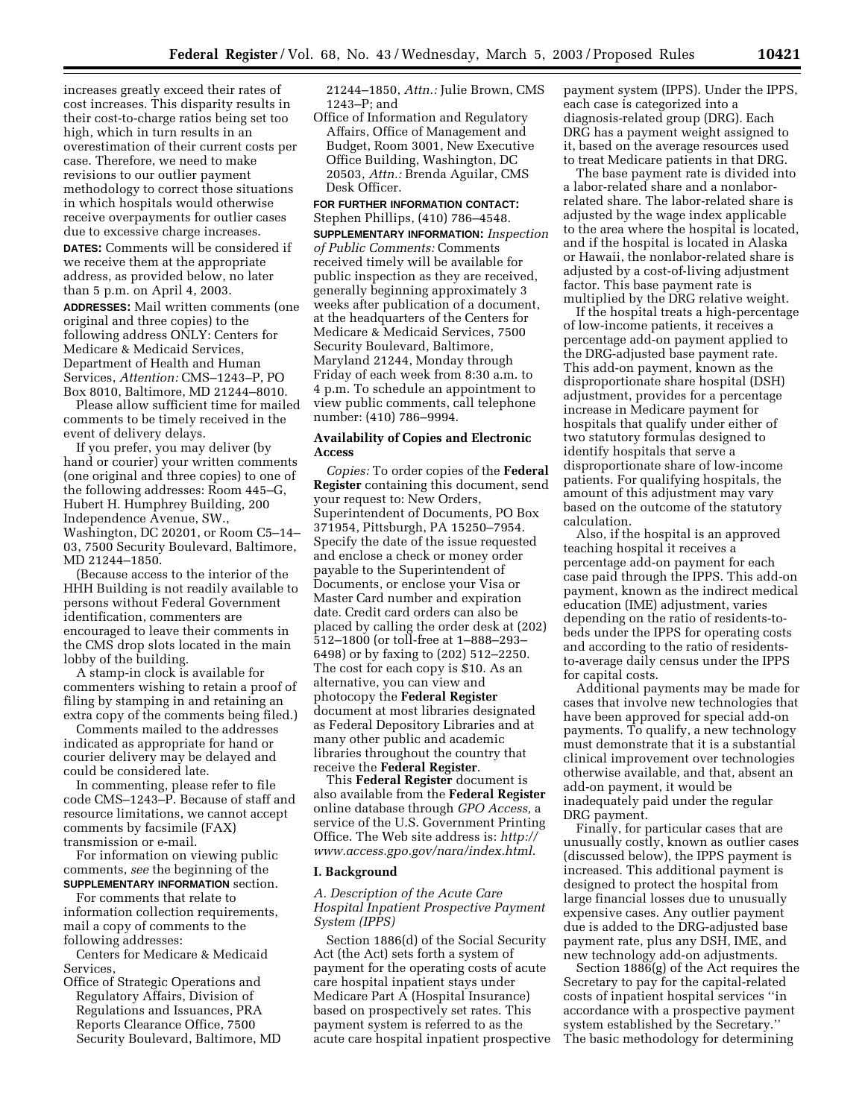increases greatly exceed their rates of cost increases. This disparity results in their cost-to-charge ratios being set too high, which in turn results in an overestimation of their current costs per case. Therefore, we need to make revisions to our outlier payment methodology to correct those situations in which hospitals would otherwise receive overpayments for outlier cases

due to excessive charge increases. **DATES:** Comments will be considered if we receive them at the appropriate address, as provided below, no later than 5 p.m. on April 4, 2003.

**ADDRESSES:** Mail written comments (one original and three copies) to the following address ONLY: Centers for Medicare & Medicaid Services, Department of Health and Human Services, *Attention:* CMS–1243–P, PO Box 8010, Baltimore, MD 21244–8010.

Please allow sufficient time for mailed comments to be timely received in the event of delivery delays.

If you prefer, you may deliver (by hand or courier) your written comments (one original and three copies) to one of the following addresses: Room 445–G, Hubert H. Humphrey Building, 200 Independence Avenue, SW., Washington, DC 20201, or Room C5–14– 03, 7500 Security Boulevard, Baltimore, MD 21244–1850.

(Because access to the interior of the HHH Building is not readily available to persons without Federal Government identification, commenters are encouraged to leave their comments in the CMS drop slots located in the main lobby of the building.

A stamp-in clock is available for commenters wishing to retain a proof of filing by stamping in and retaining an extra copy of the comments being filed.)

Comments mailed to the addresses indicated as appropriate for hand or courier delivery may be delayed and could be considered late.

In commenting, please refer to file code CMS–1243–P. Because of staff and resource limitations, we cannot accept comments by facsimile (FAX) transmission or e-mail.

For information on viewing public comments, *see* the beginning of the **SUPPLEMENTARY INFORMATION** section.

For comments that relate to information collection requirements, mail a copy of comments to the following addresses:

Centers for Medicare & Medicaid Services,

Office of Strategic Operations and Regulatory Affairs, Division of Regulations and Issuances, PRA Reports Clearance Office, 7500 Security Boulevard, Baltimore, MD 21244–1850, *Attn.:* Julie Brown, CMS 1243–P; and

Office of Information and Regulatory Affairs, Office of Management and Budget, Room 3001, New Executive Office Building, Washington, DC 20503, *Attn.:* Brenda Aguilar, CMS Desk Officer.

**FOR FURTHER INFORMATION CONTACT:** Stephen Phillips, (410) 786–4548. **SUPPLEMENTARY INFORMATION:** *Inspection of Public Comments:* Comments received timely will be available for public inspection as they are received, generally beginning approximately 3 weeks after publication of a document, at the headquarters of the Centers for Medicare & Medicaid Services, 7500 Security Boulevard, Baltimore, Maryland 21244, Monday through Friday of each week from 8:30 a.m. to 4 p.m. To schedule an appointment to view public comments, call telephone number: (410) 786–9994.

## **Availability of Copies and Electronic Access**

*Copies:* To order copies of the **Federal Register** containing this document, send your request to: New Orders, Superintendent of Documents, PO Box 371954, Pittsburgh, PA 15250–7954. Specify the date of the issue requested and enclose a check or money order payable to the Superintendent of Documents, or enclose your Visa or Master Card number and expiration date. Credit card orders can also be placed by calling the order desk at (202) 512–1800 (or toll-free at 1–888–293– 6498) or by faxing to (202) 512–2250. The cost for each copy is \$10. As an alternative, you can view and photocopy the **Federal Register** document at most libraries designated as Federal Depository Libraries and at many other public and academic libraries throughout the country that receive the **Federal Register**.

This **Federal Register** document is also available from the **Federal Register** online database through *GPO Access,* a service of the U.S. Government Printing Office. The Web site address is: *http:// www.access.gpo.gov/nara/index.html.*

#### **I. Background**

*A. Description of the Acute Care Hospital Inpatient Prospective Payment System (IPPS)* 

Section 1886(d) of the Social Security Act (the Act) sets forth a system of payment for the operating costs of acute care hospital inpatient stays under Medicare Part A (Hospital Insurance) based on prospectively set rates. This payment system is referred to as the acute care hospital inpatient prospective payment system (IPPS). Under the IPPS, each case is categorized into a diagnosis-related group (DRG). Each DRG has a payment weight assigned to it, based on the average resources used to treat Medicare patients in that DRG.

The base payment rate is divided into a labor-related share and a nonlaborrelated share. The labor-related share is adjusted by the wage index applicable to the area where the hospital is located, and if the hospital is located in Alaska or Hawaii, the nonlabor-related share is adjusted by a cost-of-living adjustment factor. This base payment rate is multiplied by the DRG relative weight.

If the hospital treats a high-percentage of low-income patients, it receives a percentage add-on payment applied to the DRG-adjusted base payment rate. This add-on payment, known as the disproportionate share hospital (DSH) adjustment, provides for a percentage increase in Medicare payment for hospitals that qualify under either of two statutory formulas designed to identify hospitals that serve a disproportionate share of low-income patients. For qualifying hospitals, the amount of this adjustment may vary based on the outcome of the statutory calculation.

Also, if the hospital is an approved teaching hospital it receives a percentage add-on payment for each case paid through the IPPS. This add-on payment, known as the indirect medical education (IME) adjustment, varies depending on the ratio of residents-tobeds under the IPPS for operating costs and according to the ratio of residentsto-average daily census under the IPPS for capital costs.

Additional payments may be made for cases that involve new technologies that have been approved for special add-on payments. To qualify, a new technology must demonstrate that it is a substantial clinical improvement over technologies otherwise available, and that, absent an add-on payment, it would be inadequately paid under the regular DRG payment.

Finally, for particular cases that are unusually costly, known as outlier cases (discussed below), the IPPS payment is increased. This additional payment is designed to protect the hospital from large financial losses due to unusually expensive cases. Any outlier payment due is added to the DRG-adjusted base payment rate, plus any DSH, IME, and new technology add-on adjustments.

Section 1886(g) of the Act requires the Secretary to pay for the capital-related costs of inpatient hospital services ''in accordance with a prospective payment system established by the Secretary.'' The basic methodology for determining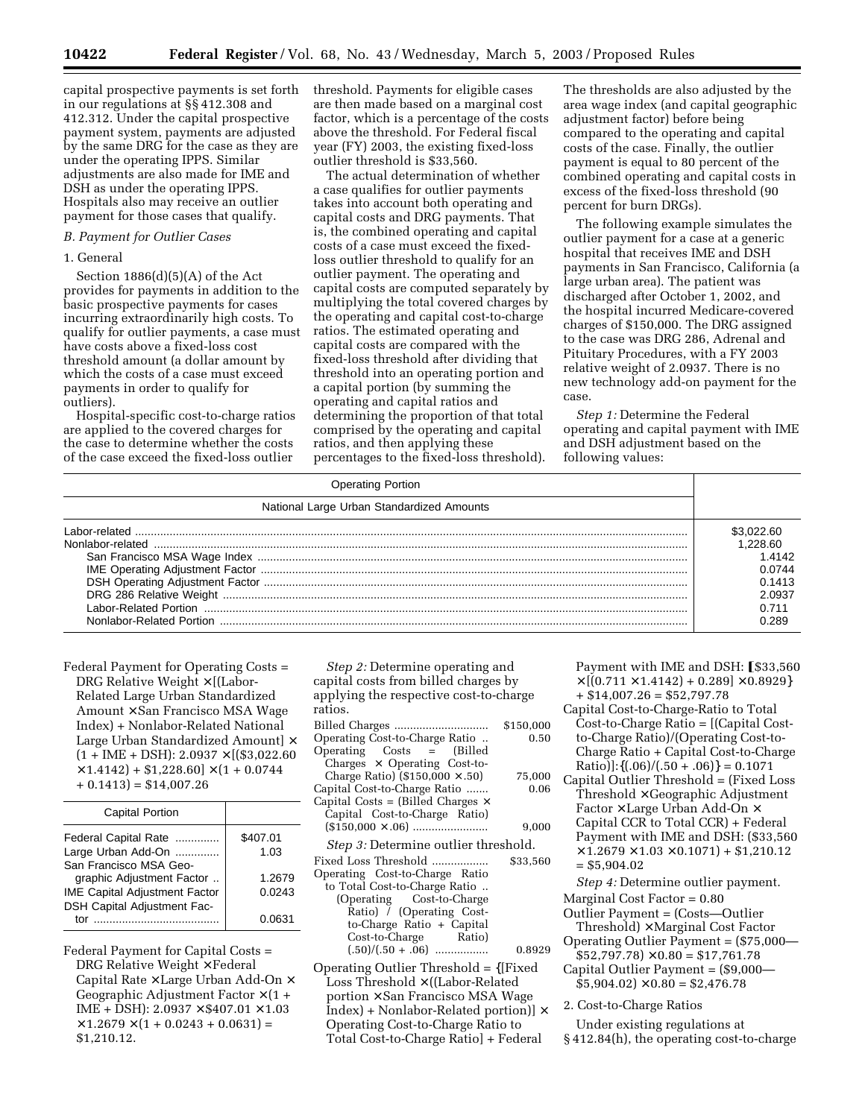capital prospective payments is set forth in our regulations at §§ 412.308 and 412.312. Under the capital prospective payment system, payments are adjusted by the same DRG for the case as they are under the operating IPPS. Similar adjustments are also made for IME and DSH as under the operating IPPS. Hospitals also may receive an outlier payment for those cases that qualify.

## *B. Payment for Outlier Cases*

#### 1. General

Section  $1886(d)(5)(A)$  of the Act provides for payments in addition to the basic prospective payments for cases incurring extraordinarily high costs. To qualify for outlier payments, a case must have costs above a fixed-loss cost threshold amount (a dollar amount by which the costs of a case must exceed payments in order to qualify for outliers).

Hospital-specific cost-to-charge ratios are applied to the covered charges for the case to determine whether the costs of the case exceed the fixed-loss outlier

threshold. Payments for eligible cases are then made based on a marginal cost factor, which is a percentage of the costs above the threshold. For Federal fiscal year (FY) 2003, the existing fixed-loss outlier threshold is \$33,560.

The actual determination of whether a case qualifies for outlier payments takes into account both operating and capital costs and DRG payments. That is, the combined operating and capital costs of a case must exceed the fixedloss outlier threshold to qualify for an outlier payment. The operating and capital costs are computed separately by multiplying the total covered charges by the operating and capital cost-to-charge ratios. The estimated operating and capital costs are compared with the fixed-loss threshold after dividing that threshold into an operating portion and a capital portion (by summing the operating and capital ratios and determining the proportion of that total comprised by the operating and capital ratios, and then applying these percentages to the fixed-loss threshold).

The thresholds are also adjusted by the area wage index (and capital geographic adjustment factor) before being compared to the operating and capital costs of the case. Finally, the outlier payment is equal to 80 percent of the combined operating and capital costs in excess of the fixed-loss threshold (90 percent for burn DRGs).

The following example simulates the outlier payment for a case at a generic hospital that receives IME and DSH payments in San Francisco, California (a large urban area). The patient was discharged after October 1, 2002, and the hospital incurred Medicare-covered charges of \$150,000. The DRG assigned to the case was DRG 286, Adrenal and Pituitary Procedures, with a FY 2003 relative weight of 2.0937. There is no new technology add-on payment for the case.

*Step 1:* Determine the Federal operating and capital payment with IME and DSH adjustment based on the following values:

| Operating Portion                         |                                                                     |
|-------------------------------------------|---------------------------------------------------------------------|
| National Large Urban Standardized Amounts |                                                                     |
|                                           | . በ22 Ნቦ<br>L228.60<br>14142<br>0.0744<br>0.1413<br>2.0937<br>በ 711 |

Federal Payment for Operating Costs = DRG Relative Weight  $\times$  [(Labor-Related Large Urban Standardized Amount × San Francisco MSA Wage Index) + Nonlabor-Related National Large Urban Standardized Amount] ×  $(1 + \text{IME} + \text{DSH})$ : 2.0937  $\times$  [(\$3,022.60)  $\times$  1.4142) + \$1,228.60]  $\times$  (1 + 0.0744  $+ 0.1413 = $14,007.26$ 

| Capital Portion                      |          |
|--------------------------------------|----------|
| Federal Capital Rate                 | \$407.01 |
| Large Urban Add-On                   | 1.03     |
| San Francisco MSA Geo-               |          |
| graphic Adjustment Factor            | 1.2679   |
| <b>IME Capital Adjustment Factor</b> | 0.0243   |
| DSH Capital Adjustment Fac-          |          |
| t∩r<br>. <b>.</b>                    | 0.0631   |

Federal Payment for Capital Costs = DRG Relative Weight × Federal Capital Rate  $\times$  Large Urban Add-On  $\times$ Geographic Adjustment Factor  $\times$  (1 + IME + DSH): 2.0937 × \$407.01 × 1.03  $\times$  1.2679  $\times$  (1 + 0.0243 + 0.0631) = \$1,210.12.

*Step 2:* Determine operating and capital costs from billed charges by applying the respective cost-to-charge ratios. Billed Charges .............................. \$150,000 Operating Cost-to-Charge Ratio .. 0.50 Operating Costs = (Billed  $Charges \times Operating Cost-to-$ Charge Ratio) (\$150,000 × .50) 75,000<br>
apital Cost-to-Charge Ratio ....... 0.06 Capital Cost-to-Charge Ratio ....... Capital Costs = (Billed Charges  $\times$ Capital Cost-to-Charge Ratio) (\$150,000 × .06) ........................ 9,000 *Step 3:* Determine outlier threshold. Fixed Loss Threshold .................. \$33,560 Operating Cost-to-Charge Ratio to Total Cost-to-Charge Ratio .. (Operating Cost-to-Charge Ratio) / (Operating Costto-Charge Ratio + Capital Cost-to-Charge Ratio) (.50)/(.50 + .06) ................. 0.8929

Operating Outlier Threshold = {[Fixed Loss Threshold  $\times$  ((Labor-Related portion × San Francisco MSA Wage  $[Index]$  + Nonlabor-Related portion)]  $\times$ Operating Cost-to-Charge Ratio to Total Cost-to-Charge Ratio] + Federal

Payment with IME and DSH: [\$33,560  $\times$  [(0.711  $\times$  1.4142) + 0.289]  $\times$  0.8929}  $+$  \$14,007.26 = \$52,797.78

- Capital Cost-to-Charge-Ratio to Total
- Cost-to-Charge Ratio = [(Capital Costto-Charge Ratio)/(Operating Cost-to-Charge Ratio + Capital Cost-to-Charge Ratio)]: $\{(.06)/(.50+.06)\} = 0.1071$
- Capital Outlier Threshold = (Fixed Loss Threshold  $\times$  Geographic Adjustment Factor  $\times$  Large Urban Add-On  $\times$ Capital CCR to Total CCR) + Federal Payment with IME and DSH: (\$33,560  $\times$  1.2679  $\times$  1.03  $\times$  0.1071) + \$1,210.12  $= $5.904.02$

*Step 4:* Determine outlier payment.

- Marginal Cost Factor = 0.80
- Outlier Payment = (Costs—Outlier  $Threshold)$  × Marginal Cost Factor
- Operating Outlier Payment = (\$75,000—  $$52,797.78 \times 0.80 = $17,761.78$
- Capital Outlier Payment = (\$9,000—  $$5,904.02$   $\times$  0.80 = \$2,476.78

2. Cost-to-Charge Ratios

Under existing regulations at § 412.84(h), the operating cost-to-charge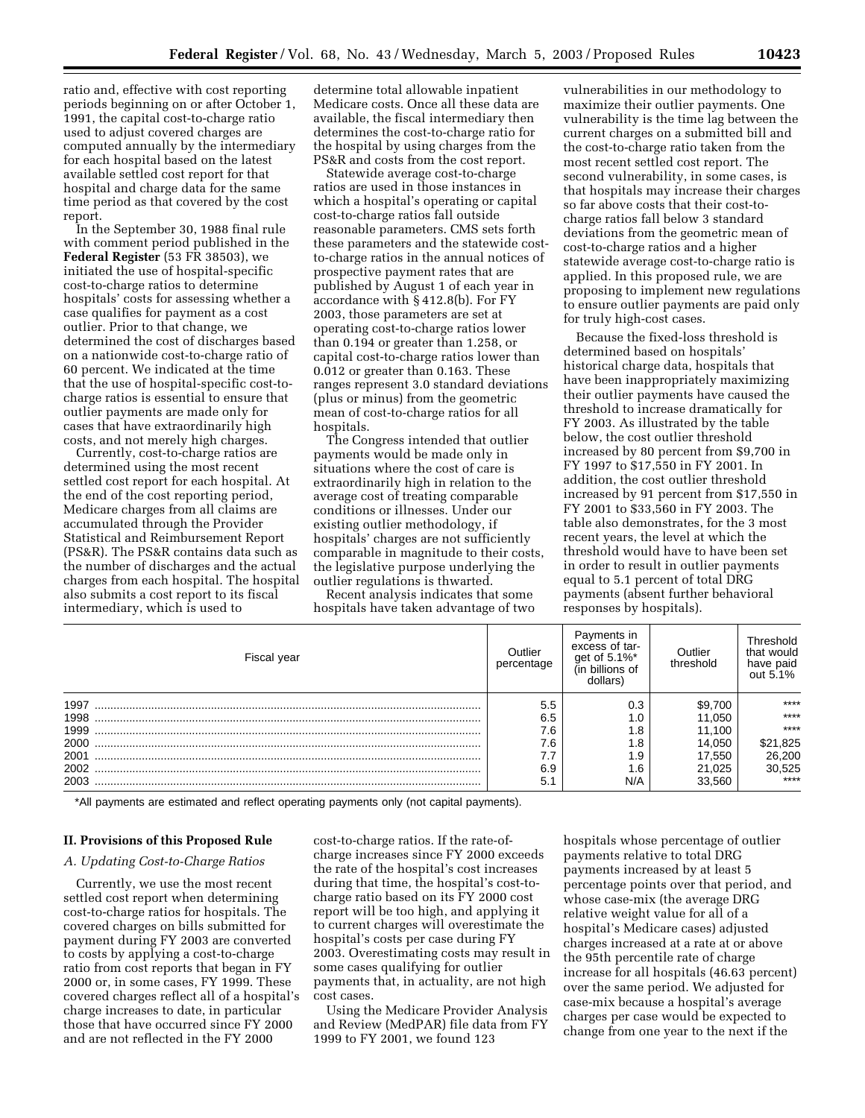ratio and, effective with cost reporting periods beginning on or after October 1, 1991, the capital cost-to-charge ratio used to adjust covered charges are computed annually by the intermediary for each hospital based on the latest available settled cost report for that hospital and charge data for the same time period as that covered by the cost report.

In the September 30, 1988 final rule with comment period published in the **Federal Register** (53 FR 38503), we initiated the use of hospital-specific cost-to-charge ratios to determine hospitals' costs for assessing whether a case qualifies for payment as a cost outlier. Prior to that change, we determined the cost of discharges based on a nationwide cost-to-charge ratio of 60 percent. We indicated at the time that the use of hospital-specific cost-tocharge ratios is essential to ensure that outlier payments are made only for cases that have extraordinarily high costs, and not merely high charges.

Currently, cost-to-charge ratios are determined using the most recent settled cost report for each hospital. At the end of the cost reporting period, Medicare charges from all claims are accumulated through the Provider Statistical and Reimbursement Report (PS&R). The PS&R contains data such as the number of discharges and the actual charges from each hospital. The hospital also submits a cost report to its fiscal intermediary, which is used to

determine total allowable inpatient Medicare costs. Once all these data are available, the fiscal intermediary then determines the cost-to-charge ratio for the hospital by using charges from the PS&R and costs from the cost report.

Statewide average cost-to-charge ratios are used in those instances in which a hospital's operating or capital cost-to-charge ratios fall outside reasonable parameters. CMS sets forth these parameters and the statewide costto-charge ratios in the annual notices of prospective payment rates that are published by August 1 of each year in accordance with § 412.8(b). For FY 2003, those parameters are set at operating cost-to-charge ratios lower than 0.194 or greater than 1.258, or capital cost-to-charge ratios lower than 0.012 or greater than 0.163. These ranges represent 3.0 standard deviations (plus or minus) from the geometric mean of cost-to-charge ratios for all hospitals.

The Congress intended that outlier payments would be made only in situations where the cost of care is extraordinarily high in relation to the average cost of treating comparable conditions or illnesses. Under our existing outlier methodology, if hospitals' charges are not sufficiently comparable in magnitude to their costs, the legislative purpose underlying the outlier regulations is thwarted.

Recent analysis indicates that some hospitals have taken advantage of two

vulnerabilities in our methodology to maximize their outlier payments. One vulnerability is the time lag between the current charges on a submitted bill and the cost-to-charge ratio taken from the most recent settled cost report. The second vulnerability, in some cases, is that hospitals may increase their charges so far above costs that their cost-tocharge ratios fall below 3 standard deviations from the geometric mean of cost-to-charge ratios and a higher statewide average cost-to-charge ratio is applied. In this proposed rule, we are proposing to implement new regulations to ensure outlier payments are paid only for truly high-cost cases.

Because the fixed-loss threshold is determined based on hospitals' historical charge data, hospitals that have been inappropriately maximizing their outlier payments have caused the threshold to increase dramatically for FY 2003. As illustrated by the table below, the cost outlier threshold increased by 80 percent from \$9,700 in FY 1997 to \$17,550 in FY 2001. In addition, the cost outlier threshold increased by 91 percent from \$17,550 in FY 2001 to \$33,560 in FY 2003. The table also demonstrates, for the 3 most recent years, the level at which the threshold would have to have been set in order to result in outlier payments equal to 5.1 percent of total DRG payments (absent further behavioral responses by hospitals).

| Fiscal year | Outlier<br>percentage | Payments in<br>excess of tar-<br>get of 5.1%*<br>(in billions of | Outlier<br>threshold | Threshold<br>that would<br>have paid<br>out 5.1% |
|-------------|-----------------------|------------------------------------------------------------------|----------------------|--------------------------------------------------|
| 1997        | 5.5                   | 0.3                                                              | \$9,700              | $***$                                            |
| 1998        | 6.5                   | 1.0                                                              | 11,050               | $***$                                            |
| 1999        | 7.6                   | 1.8                                                              | 11.100               | $***$                                            |
| 2000        | 7.6                   | 1.8                                                              | 14.050               | \$21,825                                         |
| 2001        |                       | 1.9                                                              | 17,550               | 26,200                                           |
| 2002        | 6.9                   | 1.6                                                              | 21,025               | 30,525                                           |
| 2003        | 5.                    | N/A                                                              | 33.560               | $***$                                            |

\*All payments are estimated and reflect operating payments only (not capital payments).

#### **II. Provisions of this Proposed Rule**

## *A. Updating Cost-to-Charge Ratios*

Currently, we use the most recent settled cost report when determining cost-to-charge ratios for hospitals. The covered charges on bills submitted for payment during FY 2003 are converted to costs by applying a cost-to-charge ratio from cost reports that began in FY 2000 or, in some cases, FY 1999. These covered charges reflect all of a hospital's charge increases to date, in particular those that have occurred since FY 2000 and are not reflected in the FY 2000

cost-to-charge ratios. If the rate-ofcharge increases since FY 2000 exceeds the rate of the hospital's cost increases during that time, the hospital's cost-tocharge ratio based on its FY 2000 cost report will be too high, and applying it to current charges will overestimate the hospital's costs per case during FY 2003. Overestimating costs may result in some cases qualifying for outlier payments that, in actuality, are not high cost cases.

Using the Medicare Provider Analysis and Review (MedPAR) file data from FY 1999 to FY 2001, we found 123

hospitals whose percentage of outlier payments relative to total DRG payments increased by at least 5 percentage points over that period, and whose case-mix (the average DRG relative weight value for all of a hospital's Medicare cases) adjusted charges increased at a rate at or above the 95th percentile rate of charge increase for all hospitals (46.63 percent) over the same period. We adjusted for case-mix because a hospital's average charges per case would be expected to change from one year to the next if the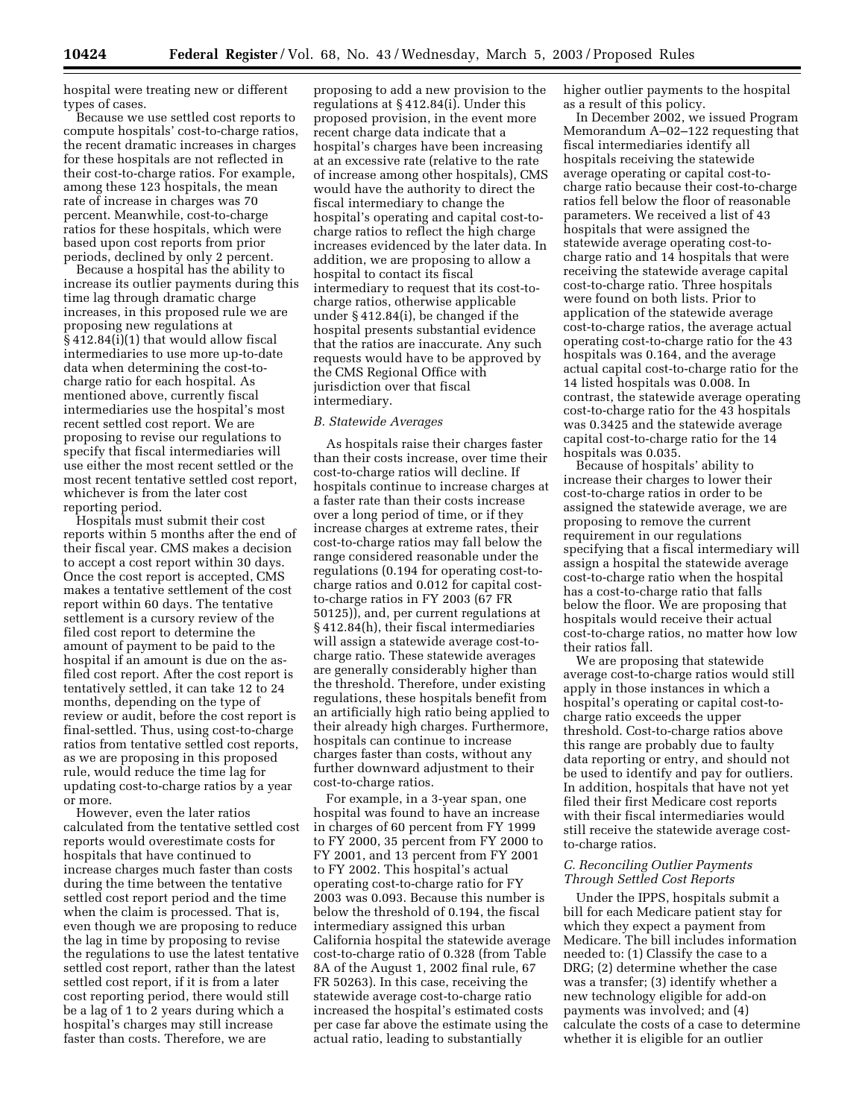hospital were treating new or different types of cases.

Because we use settled cost reports to compute hospitals' cost-to-charge ratios, the recent dramatic increases in charges for these hospitals are not reflected in their cost-to-charge ratios. For example, among these 123 hospitals, the mean rate of increase in charges was 70 percent. Meanwhile, cost-to-charge ratios for these hospitals, which were based upon cost reports from prior periods, declined by only 2 percent.

Because a hospital has the ability to increase its outlier payments during this time lag through dramatic charge increases, in this proposed rule we are proposing new regulations at § 412.84(i)(1) that would allow fiscal intermediaries to use more up-to-date data when determining the cost-tocharge ratio for each hospital. As mentioned above, currently fiscal intermediaries use the hospital's most recent settled cost report. We are proposing to revise our regulations to specify that fiscal intermediaries will use either the most recent settled or the most recent tentative settled cost report, whichever is from the later cost reporting period.

Hospitals must submit their cost reports within 5 months after the end of their fiscal year. CMS makes a decision to accept a cost report within 30 days. Once the cost report is accepted, CMS makes a tentative settlement of the cost report within 60 days. The tentative settlement is a cursory review of the filed cost report to determine the amount of payment to be paid to the hospital if an amount is due on the asfiled cost report. After the cost report is tentatively settled, it can take 12 to 24 months, depending on the type of review or audit, before the cost report is final-settled. Thus, using cost-to-charge ratios from tentative settled cost reports, as we are proposing in this proposed rule, would reduce the time lag for updating cost-to-charge ratios by a year or more.

However, even the later ratios calculated from the tentative settled cost reports would overestimate costs for hospitals that have continued to increase charges much faster than costs during the time between the tentative settled cost report period and the time when the claim is processed. That is, even though we are proposing to reduce the lag in time by proposing to revise the regulations to use the latest tentative settled cost report, rather than the latest settled cost report, if it is from a later cost reporting period, there would still be a lag of 1 to 2 years during which a hospital's charges may still increase faster than costs. Therefore, we are

proposing to add a new provision to the regulations at § 412.84(i). Under this proposed provision, in the event more recent charge data indicate that a hospital's charges have been increasing at an excessive rate (relative to the rate of increase among other hospitals), CMS would have the authority to direct the fiscal intermediary to change the hospital's operating and capital cost-tocharge ratios to reflect the high charge increases evidenced by the later data. In addition, we are proposing to allow a hospital to contact its fiscal intermediary to request that its cost-tocharge ratios, otherwise applicable under § 412.84(i), be changed if the hospital presents substantial evidence that the ratios are inaccurate. Any such requests would have to be approved by the CMS Regional Office with jurisdiction over that fiscal intermediary.

#### *B. Statewide Averages*

As hospitals raise their charges faster than their costs increase, over time their cost-to-charge ratios will decline. If hospitals continue to increase charges at a faster rate than their costs increase over a long period of time, or if they increase charges at extreme rates, their cost-to-charge ratios may fall below the range considered reasonable under the regulations (0.194 for operating cost-tocharge ratios and 0.012 for capital costto-charge ratios in FY 2003 (67 FR 50125)), and, per current regulations at § 412.84(h), their fiscal intermediaries will assign a statewide average cost-tocharge ratio. These statewide averages are generally considerably higher than the threshold. Therefore, under existing regulations, these hospitals benefit from an artificially high ratio being applied to their already high charges. Furthermore, hospitals can continue to increase charges faster than costs, without any further downward adjustment to their cost-to-charge ratios.

For example, in a 3-year span, one hospital was found to have an increase in charges of 60 percent from FY 1999 to FY 2000, 35 percent from FY 2000 to FY 2001, and 13 percent from FY 2001 to FY 2002. This hospital's actual operating cost-to-charge ratio for FY 2003 was 0.093. Because this number is below the threshold of 0.194, the fiscal intermediary assigned this urban California hospital the statewide average cost-to-charge ratio of 0.328 (from Table 8A of the August 1, 2002 final rule, 67 FR 50263). In this case, receiving the statewide average cost-to-charge ratio increased the hospital's estimated costs per case far above the estimate using the actual ratio, leading to substantially

higher outlier payments to the hospital as a result of this policy.

In December 2002, we issued Program Memorandum A–02–122 requesting that fiscal intermediaries identify all hospitals receiving the statewide average operating or capital cost-tocharge ratio because their cost-to-charge ratios fell below the floor of reasonable parameters. We received a list of 43 hospitals that were assigned the statewide average operating cost-tocharge ratio and 14 hospitals that were receiving the statewide average capital cost-to-charge ratio. Three hospitals were found on both lists. Prior to application of the statewide average cost-to-charge ratios, the average actual operating cost-to-charge ratio for the 43 hospitals was 0.164, and the average actual capital cost-to-charge ratio for the 14 listed hospitals was 0.008. In contrast, the statewide average operating cost-to-charge ratio for the 43 hospitals was 0.3425 and the statewide average capital cost-to-charge ratio for the 14 hospitals was 0.035.

Because of hospitals' ability to increase their charges to lower their cost-to-charge ratios in order to be assigned the statewide average, we are proposing to remove the current requirement in our regulations specifying that a fiscal intermediary will assign a hospital the statewide average cost-to-charge ratio when the hospital has a cost-to-charge ratio that falls below the floor. We are proposing that hospitals would receive their actual cost-to-charge ratios, no matter how low their ratios fall.

We are proposing that statewide average cost-to-charge ratios would still apply in those instances in which a hospital's operating or capital cost-tocharge ratio exceeds the upper threshold. Cost-to-charge ratios above this range are probably due to faulty data reporting or entry, and should not be used to identify and pay for outliers. In addition, hospitals that have not yet filed their first Medicare cost reports with their fiscal intermediaries would still receive the statewide average costto-charge ratios.

## *C. Reconciling Outlier Payments Through Settled Cost Reports*

Under the IPPS, hospitals submit a bill for each Medicare patient stay for which they expect a payment from Medicare. The bill includes information needed to: (1) Classify the case to a DRG; (2) determine whether the case was a transfer; (3) identify whether a new technology eligible for add-on payments was involved; and (4) calculate the costs of a case to determine whether it is eligible for an outlier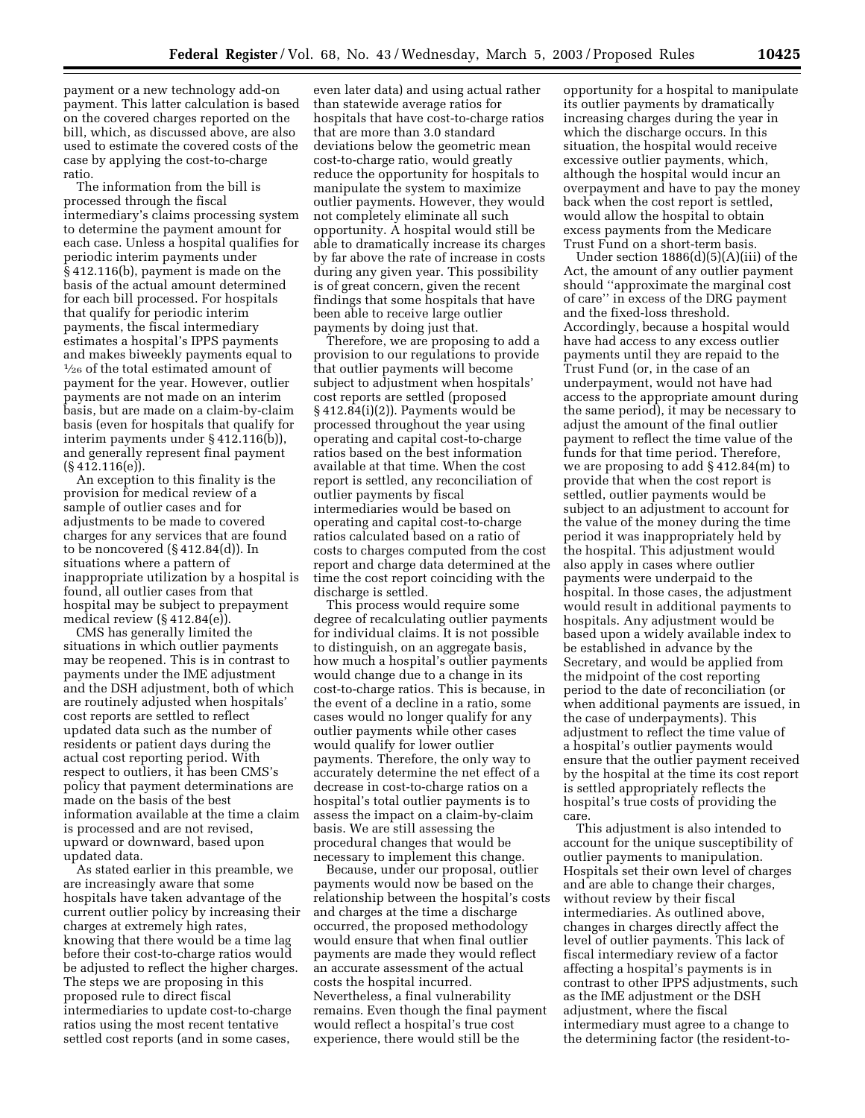payment or a new technology add-on payment. This latter calculation is based on the covered charges reported on the bill, which, as discussed above, are also used to estimate the covered costs of the case by applying the cost-to-charge ratio.

The information from the bill is processed through the fiscal intermediary's claims processing system to determine the payment amount for each case. Unless a hospital qualifies for periodic interim payments under § 412.116(b), payment is made on the basis of the actual amount determined for each bill processed. For hospitals that qualify for periodic interim payments, the fiscal intermediary estimates a hospital's IPPS payments and makes biweekly payments equal to  $\frac{1}{26}$  of the total estimated amount of payment for the year. However, outlier payments are not made on an interim basis, but are made on a claim-by-claim basis (even for hospitals that qualify for interim payments under § 412.116(b)), and generally represent final payment (§ 412.116(e)).

An exception to this finality is the provision for medical review of a sample of outlier cases and for adjustments to be made to covered charges for any services that are found to be noncovered (§ 412.84(d)). In situations where a pattern of inappropriate utilization by a hospital is found, all outlier cases from that hospital may be subject to prepayment medical review  $(\S 412.84(e))$ .

CMS has generally limited the situations in which outlier payments may be reopened. This is in contrast to payments under the IME adjustment and the DSH adjustment, both of which are routinely adjusted when hospitals' cost reports are settled to reflect updated data such as the number of residents or patient days during the actual cost reporting period. With respect to outliers, it has been CMS's policy that payment determinations are made on the basis of the best information available at the time a claim is processed and are not revised, upward or downward, based upon updated data.

As stated earlier in this preamble, we are increasingly aware that some hospitals have taken advantage of the current outlier policy by increasing their charges at extremely high rates, knowing that there would be a time lag before their cost-to-charge ratios would be adjusted to reflect the higher charges. The steps we are proposing in this proposed rule to direct fiscal intermediaries to update cost-to-charge ratios using the most recent tentative settled cost reports (and in some cases,

even later data) and using actual rather than statewide average ratios for hospitals that have cost-to-charge ratios that are more than 3.0 standard deviations below the geometric mean cost-to-charge ratio, would greatly reduce the opportunity for hospitals to manipulate the system to maximize outlier payments. However, they would not completely eliminate all such opportunity. A hospital would still be able to dramatically increase its charges by far above the rate of increase in costs during any given year. This possibility is of great concern, given the recent findings that some hospitals that have been able to receive large outlier payments by doing just that.

Therefore, we are proposing to add a provision to our regulations to provide that outlier payments will become subject to adjustment when hospitals' cost reports are settled (proposed § 412.84(i)(2)). Payments would be processed throughout the year using operating and capital cost-to-charge ratios based on the best information available at that time. When the cost report is settled, any reconciliation of outlier payments by fiscal intermediaries would be based on operating and capital cost-to-charge ratios calculated based on a ratio of costs to charges computed from the cost report and charge data determined at the time the cost report coinciding with the discharge is settled.

This process would require some degree of recalculating outlier payments for individual claims. It is not possible to distinguish, on an aggregate basis, how much a hospital's outlier payments would change due to a change in its cost-to-charge ratios. This is because, in the event of a decline in a ratio, some cases would no longer qualify for any outlier payments while other cases would qualify for lower outlier payments. Therefore, the only way to accurately determine the net effect of a decrease in cost-to-charge ratios on a hospital's total outlier payments is to assess the impact on a claim-by-claim basis. We are still assessing the procedural changes that would be necessary to implement this change.

Because, under our proposal, outlier payments would now be based on the relationship between the hospital's costs and charges at the time a discharge occurred, the proposed methodology would ensure that when final outlier payments are made they would reflect an accurate assessment of the actual costs the hospital incurred. Nevertheless, a final vulnerability remains. Even though the final payment would reflect a hospital's true cost experience, there would still be the

opportunity for a hospital to manipulate its outlier payments by dramatically increasing charges during the year in which the discharge occurs. In this situation, the hospital would receive excessive outlier payments, which, although the hospital would incur an overpayment and have to pay the money back when the cost report is settled, would allow the hospital to obtain excess payments from the Medicare Trust Fund on a short-term basis.

Under section 1886(d)(5)(A)(iii) of the Act, the amount of any outlier payment should ''approximate the marginal cost of care'' in excess of the DRG payment and the fixed-loss threshold. Accordingly, because a hospital would have had access to any excess outlier payments until they are repaid to the Trust Fund (or, in the case of an underpayment, would not have had access to the appropriate amount during the same period), it may be necessary to adjust the amount of the final outlier payment to reflect the time value of the funds for that time period. Therefore, we are proposing to add § 412.84(m) to provide that when the cost report is settled, outlier payments would be subject to an adjustment to account for the value of the money during the time period it was inappropriately held by the hospital. This adjustment would also apply in cases where outlier payments were underpaid to the hospital. In those cases, the adjustment would result in additional payments to hospitals. Any adjustment would be based upon a widely available index to be established in advance by the Secretary, and would be applied from the midpoint of the cost reporting period to the date of reconciliation (or when additional payments are issued, in the case of underpayments). This adjustment to reflect the time value of a hospital's outlier payments would ensure that the outlier payment received by the hospital at the time its cost report is settled appropriately reflects the hospital's true costs of providing the care.

This adjustment is also intended to account for the unique susceptibility of outlier payments to manipulation. Hospitals set their own level of charges and are able to change their charges, without review by their fiscal intermediaries. As outlined above, changes in charges directly affect the level of outlier payments. This lack of fiscal intermediary review of a factor affecting a hospital's payments is in contrast to other IPPS adjustments, such as the IME adjustment or the DSH adjustment, where the fiscal intermediary must agree to a change to the determining factor (the resident-to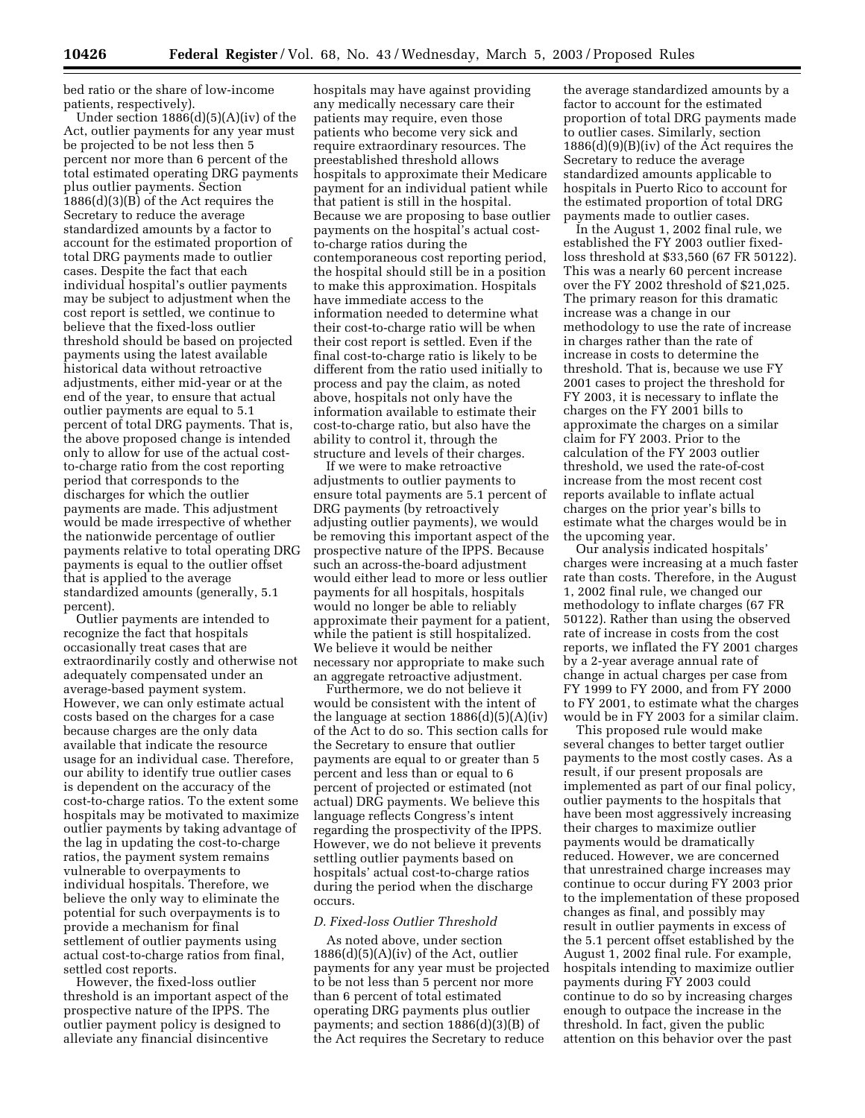bed ratio or the share of low-income patients, respectively).

Under section  $1886(d)(5)(A)(iv)$  of the Act, outlier payments for any year must be projected to be not less then 5 percent nor more than 6 percent of the total estimated operating DRG payments plus outlier payments. Section 1886(d)(3)(B) of the Act requires the Secretary to reduce the average standardized amounts by a factor to account for the estimated proportion of total DRG payments made to outlier cases. Despite the fact that each individual hospital's outlier payments may be subject to adjustment when the cost report is settled, we continue to believe that the fixed-loss outlier threshold should be based on projected payments using the latest available historical data without retroactive adjustments, either mid-year or at the end of the year, to ensure that actual outlier payments are equal to 5.1 percent of total DRG payments. That is, the above proposed change is intended only to allow for use of the actual costto-charge ratio from the cost reporting period that corresponds to the discharges for which the outlier payments are made. This adjustment would be made irrespective of whether the nationwide percentage of outlier payments relative to total operating DRG payments is equal to the outlier offset that is applied to the average standardized amounts (generally, 5.1 percent).

Outlier payments are intended to recognize the fact that hospitals occasionally treat cases that are extraordinarily costly and otherwise not adequately compensated under an average-based payment system. However, we can only estimate actual costs based on the charges for a case because charges are the only data available that indicate the resource usage for an individual case. Therefore, our ability to identify true outlier cases is dependent on the accuracy of the cost-to-charge ratios. To the extent some hospitals may be motivated to maximize outlier payments by taking advantage of the lag in updating the cost-to-charge ratios, the payment system remains vulnerable to overpayments to individual hospitals. Therefore, we believe the only way to eliminate the potential for such overpayments is to provide a mechanism for final settlement of outlier payments using actual cost-to-charge ratios from final, settled cost reports.

However, the fixed-loss outlier threshold is an important aspect of the prospective nature of the IPPS. The outlier payment policy is designed to alleviate any financial disincentive

hospitals may have against providing any medically necessary care their patients may require, even those patients who become very sick and require extraordinary resources. The preestablished threshold allows hospitals to approximate their Medicare payment for an individual patient while that patient is still in the hospital. Because we are proposing to base outlier payments on the hospital's actual costto-charge ratios during the contemporaneous cost reporting period, the hospital should still be in a position to make this approximation. Hospitals have immediate access to the information needed to determine what their cost-to-charge ratio will be when their cost report is settled. Even if the final cost-to-charge ratio is likely to be different from the ratio used initially to process and pay the claim, as noted above, hospitals not only have the information available to estimate their cost-to-charge ratio, but also have the ability to control it, through the structure and levels of their charges.

If we were to make retroactive adjustments to outlier payments to ensure total payments are 5.1 percent of DRG payments (by retroactively adjusting outlier payments), we would be removing this important aspect of the prospective nature of the IPPS. Because such an across-the-board adjustment would either lead to more or less outlier payments for all hospitals, hospitals would no longer be able to reliably approximate their payment for a patient, while the patient is still hospitalized. We believe it would be neither necessary nor appropriate to make such an aggregate retroactive adjustment.

Furthermore, we do not believe it would be consistent with the intent of the language at section 1886(d)(5)(A)(iv) of the Act to do so. This section calls for the Secretary to ensure that outlier payments are equal to or greater than 5 percent and less than or equal to 6 percent of projected or estimated (not actual) DRG payments. We believe this language reflects Congress's intent regarding the prospectivity of the IPPS. However, we do not believe it prevents settling outlier payments based on hospitals' actual cost-to-charge ratios during the period when the discharge occurs.

#### *D. Fixed-loss Outlier Threshold*

As noted above, under section  $1886(d)(5)(A)(iv)$  of the Act, outlier payments for any year must be projected to be not less than 5 percent nor more than 6 percent of total estimated operating DRG payments plus outlier payments; and section 1886(d)(3)(B) of the Act requires the Secretary to reduce

the average standardized amounts by a factor to account for the estimated proportion of total DRG payments made to outlier cases. Similarly, section  $1886(d)(9)(B)(iv)$  of the Act requires the Secretary to reduce the average standardized amounts applicable to hospitals in Puerto Rico to account for the estimated proportion of total DRG payments made to outlier cases.

In the August 1, 2002 final rule, we established the FY 2003 outlier fixedloss threshold at \$33,560 (67 FR 50122). This was a nearly 60 percent increase over the FY 2002 threshold of \$21,025. The primary reason for this dramatic increase was a change in our methodology to use the rate of increase in charges rather than the rate of increase in costs to determine the threshold. That is, because we use FY 2001 cases to project the threshold for FY 2003, it is necessary to inflate the charges on the FY 2001 bills to approximate the charges on a similar claim for FY 2003. Prior to the calculation of the FY 2003 outlier threshold, we used the rate-of-cost increase from the most recent cost reports available to inflate actual charges on the prior year's bills to estimate what the charges would be in the upcoming year.

Our analysis indicated hospitals' charges were increasing at a much faster rate than costs. Therefore, in the August 1, 2002 final rule, we changed our methodology to inflate charges (67 FR 50122). Rather than using the observed rate of increase in costs from the cost reports, we inflated the FY 2001 charges by a 2-year average annual rate of change in actual charges per case from FY 1999 to FY 2000, and from FY 2000 to FY 2001, to estimate what the charges would be in FY 2003 for a similar claim.

This proposed rule would make several changes to better target outlier payments to the most costly cases. As a result, if our present proposals are implemented as part of our final policy, outlier payments to the hospitals that have been most aggressively increasing their charges to maximize outlier payments would be dramatically reduced. However, we are concerned that unrestrained charge increases may continue to occur during FY 2003 prior to the implementation of these proposed changes as final, and possibly may result in outlier payments in excess of the 5.1 percent offset established by the August 1, 2002 final rule. For example, hospitals intending to maximize outlier payments during FY 2003 could continue to do so by increasing charges enough to outpace the increase in the threshold. In fact, given the public attention on this behavior over the past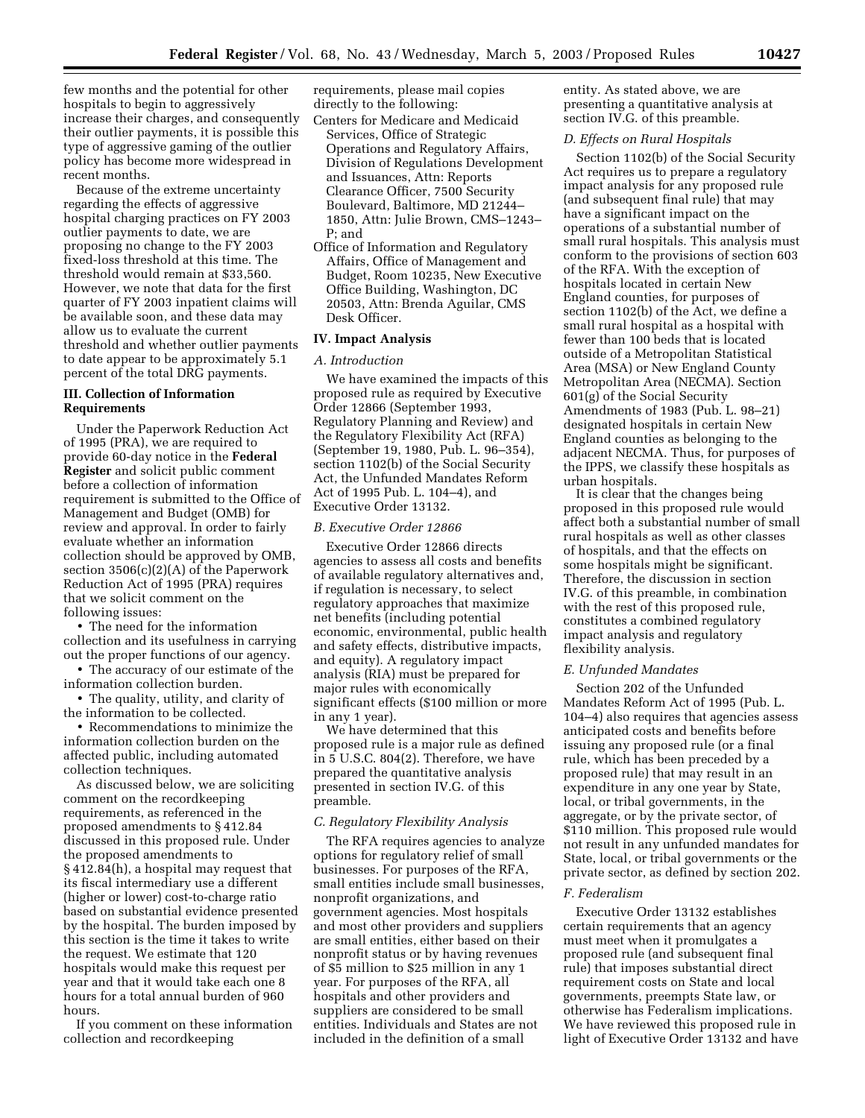few months and the potential for other hospitals to begin to aggressively increase their charges, and consequently their outlier payments, it is possible this type of aggressive gaming of the outlier policy has become more widespread in recent months.

Because of the extreme uncertainty regarding the effects of aggressive hospital charging practices on FY 2003 outlier payments to date, we are proposing no change to the FY 2003 fixed-loss threshold at this time. The threshold would remain at \$33,560. However, we note that data for the first quarter of FY 2003 inpatient claims will be available soon, and these data may allow us to evaluate the current threshold and whether outlier payments to date appear to be approximately 5.1 percent of the total DRG payments.

# **III. Collection of Information Requirements**

Under the Paperwork Reduction Act of 1995 (PRA), we are required to provide 60-day notice in the **Federal Register** and solicit public comment before a collection of information requirement is submitted to the Office of Management and Budget (OMB) for review and approval. In order to fairly evaluate whether an information collection should be approved by OMB, section 3506(c)(2)(A) of the Paperwork Reduction Act of 1995 (PRA) requires that we solicit comment on the following issues:

• The need for the information collection and its usefulness in carrying out the proper functions of our agency.

• The accuracy of our estimate of the information collection burden.

• The quality, utility, and clarity of the information to be collected.

• Recommendations to minimize the information collection burden on the affected public, including automated collection techniques.

As discussed below, we are soliciting comment on the recordkeeping requirements, as referenced in the proposed amendments to § 412.84 discussed in this proposed rule. Under the proposed amendments to § 412.84(h), a hospital may request that its fiscal intermediary use a different (higher or lower) cost-to-charge ratio based on substantial evidence presented by the hospital. The burden imposed by this section is the time it takes to write the request. We estimate that 120 hospitals would make this request per year and that it would take each one 8 hours for a total annual burden of 960 hours.

If you comment on these information collection and recordkeeping

requirements, please mail copies directly to the following:

- Centers for Medicare and Medicaid Services, Office of Strategic Operations and Regulatory Affairs, Division of Regulations Development and Issuances, Attn: Reports Clearance Officer, 7500 Security Boulevard, Baltimore, MD 21244– 1850, Attn: Julie Brown, CMS–1243– P; and
- Office of Information and Regulatory Affairs, Office of Management and Budget, Room 10235, New Executive Office Building, Washington, DC 20503, Attn: Brenda Aguilar, CMS Desk Officer.

# **IV. Impact Analysis**

#### *A. Introduction*

We have examined the impacts of this proposed rule as required by Executive Order 12866 (September 1993, Regulatory Planning and Review) and the Regulatory Flexibility Act (RFA) (September 19, 1980, Pub. L. 96–354), section 1102(b) of the Social Security Act, the Unfunded Mandates Reform Act of 1995 Pub. L. 104–4), and Executive Order 13132.

#### *B. Executive Order 12866*

Executive Order 12866 directs agencies to assess all costs and benefits of available regulatory alternatives and, if regulation is necessary, to select regulatory approaches that maximize net benefits (including potential economic, environmental, public health and safety effects, distributive impacts, and equity). A regulatory impact analysis (RIA) must be prepared for major rules with economically significant effects (\$100 million or more in any 1 year).

We have determined that this proposed rule is a major rule as defined in 5 U.S.C. 804(2). Therefore, we have prepared the quantitative analysis presented in section IV.G. of this preamble.

#### *C. Regulatory Flexibility Analysis*

The RFA requires agencies to analyze options for regulatory relief of small businesses. For purposes of the RFA, small entities include small businesses, nonprofit organizations, and government agencies. Most hospitals and most other providers and suppliers are small entities, either based on their nonprofit status or by having revenues of \$5 million to \$25 million in any 1 year. For purposes of the RFA, all hospitals and other providers and suppliers are considered to be small entities. Individuals and States are not included in the definition of a small

entity. As stated above, we are presenting a quantitative analysis at section IV.G. of this preamble.

# *D. Effects on Rural Hospitals*

Section 1102(b) of the Social Security Act requires us to prepare a regulatory impact analysis for any proposed rule (and subsequent final rule) that may have a significant impact on the operations of a substantial number of small rural hospitals. This analysis must conform to the provisions of section 603 of the RFA. With the exception of hospitals located in certain New England counties, for purposes of section 1102(b) of the Act, we define a small rural hospital as a hospital with fewer than 100 beds that is located outside of a Metropolitan Statistical Area (MSA) or New England County Metropolitan Area (NECMA). Section 601(g) of the Social Security Amendments of 1983 (Pub. L. 98–21) designated hospitals in certain New England counties as belonging to the adjacent NECMA. Thus, for purposes of the IPPS, we classify these hospitals as urban hospitals.

It is clear that the changes being proposed in this proposed rule would affect both a substantial number of small rural hospitals as well as other classes of hospitals, and that the effects on some hospitals might be significant. Therefore, the discussion in section IV.G. of this preamble, in combination with the rest of this proposed rule, constitutes a combined regulatory impact analysis and regulatory flexibility analysis.

## *E. Unfunded Mandates*

Section 202 of the Unfunded Mandates Reform Act of 1995 (Pub. L. 104–4) also requires that agencies assess anticipated costs and benefits before issuing any proposed rule (or a final rule, which has been preceded by a proposed rule) that may result in an expenditure in any one year by State, local, or tribal governments, in the aggregate, or by the private sector, of \$110 million. This proposed rule would not result in any unfunded mandates for State, local, or tribal governments or the private sector, as defined by section 202.

## *F. Federalism*

Executive Order 13132 establishes certain requirements that an agency must meet when it promulgates a proposed rule (and subsequent final rule) that imposes substantial direct requirement costs on State and local governments, preempts State law, or otherwise has Federalism implications. We have reviewed this proposed rule in light of Executive Order 13132 and have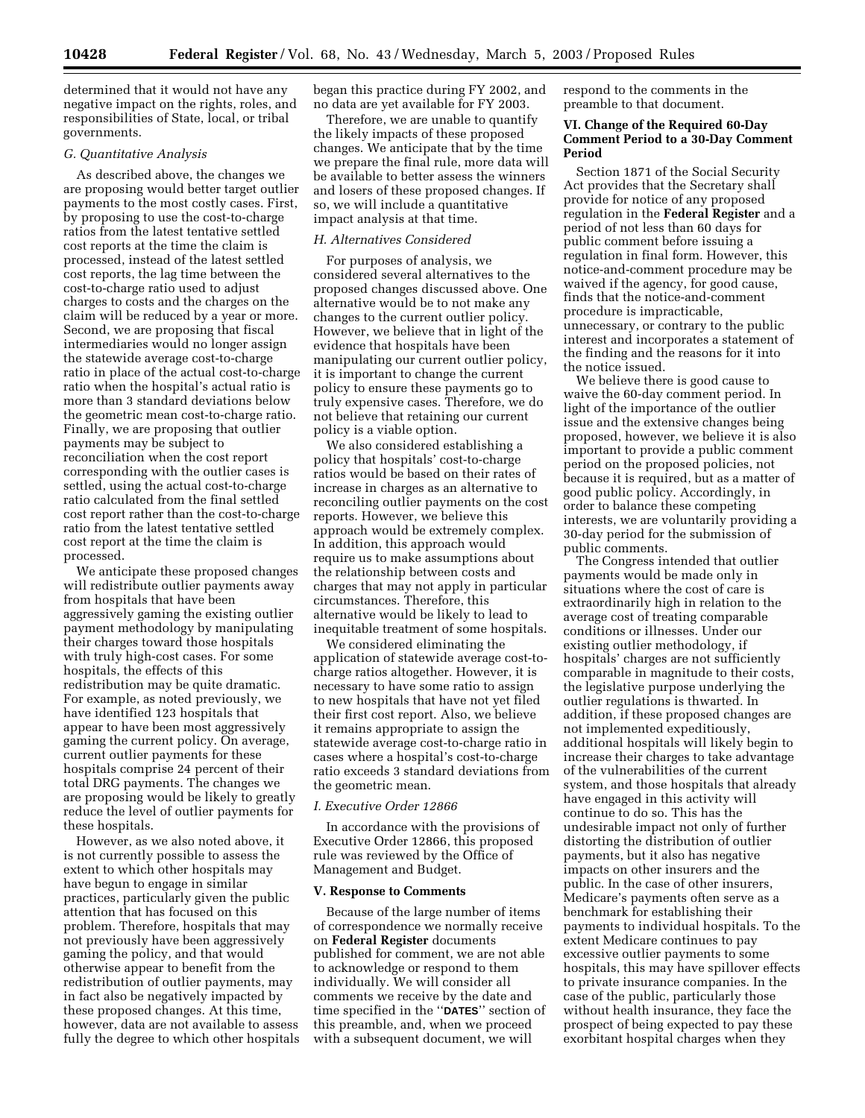determined that it would not have any negative impact on the rights, roles, and responsibilities of State, local, or tribal governments.

# *G. Quantitative Analysis*

As described above, the changes we are proposing would better target outlier payments to the most costly cases. First, by proposing to use the cost-to-charge ratios from the latest tentative settled cost reports at the time the claim is processed, instead of the latest settled cost reports, the lag time between the cost-to-charge ratio used to adjust charges to costs and the charges on the claim will be reduced by a year or more. Second, we are proposing that fiscal intermediaries would no longer assign the statewide average cost-to-charge ratio in place of the actual cost-to-charge ratio when the hospital's actual ratio is more than 3 standard deviations below the geometric mean cost-to-charge ratio. Finally, we are proposing that outlier payments may be subject to reconciliation when the cost report corresponding with the outlier cases is settled, using the actual cost-to-charge ratio calculated from the final settled cost report rather than the cost-to-charge ratio from the latest tentative settled cost report at the time the claim is processed.

We anticipate these proposed changes will redistribute outlier payments away from hospitals that have been aggressively gaming the existing outlier payment methodology by manipulating their charges toward those hospitals with truly high-cost cases. For some hospitals, the effects of this redistribution may be quite dramatic. For example, as noted previously, we have identified 123 hospitals that appear to have been most aggressively gaming the current policy. On average, current outlier payments for these hospitals comprise 24 percent of their total DRG payments. The changes we are proposing would be likely to greatly reduce the level of outlier payments for these hospitals.

However, as we also noted above, it is not currently possible to assess the extent to which other hospitals may have begun to engage in similar practices, particularly given the public attention that has focused on this problem. Therefore, hospitals that may not previously have been aggressively gaming the policy, and that would otherwise appear to benefit from the redistribution of outlier payments, may in fact also be negatively impacted by these proposed changes. At this time, however, data are not available to assess fully the degree to which other hospitals began this practice during FY 2002, and no data are yet available for FY 2003.

Therefore, we are unable to quantify the likely impacts of these proposed changes. We anticipate that by the time we prepare the final rule, more data will be available to better assess the winners and losers of these proposed changes. If so, we will include a quantitative impact analysis at that time.

#### *H. Alternatives Considered*

For purposes of analysis, we considered several alternatives to the proposed changes discussed above. One alternative would be to not make any changes to the current outlier policy. However, we believe that in light of the evidence that hospitals have been manipulating our current outlier policy, it is important to change the current policy to ensure these payments go to truly expensive cases. Therefore, we do not believe that retaining our current policy is a viable option.

We also considered establishing a policy that hospitals' cost-to-charge ratios would be based on their rates of increase in charges as an alternative to reconciling outlier payments on the cost reports. However, we believe this approach would be extremely complex. In addition, this approach would require us to make assumptions about the relationship between costs and charges that may not apply in particular circumstances. Therefore, this alternative would be likely to lead to inequitable treatment of some hospitals.

We considered eliminating the application of statewide average cost-tocharge ratios altogether. However, it is necessary to have some ratio to assign to new hospitals that have not yet filed their first cost report. Also, we believe it remains appropriate to assign the statewide average cost-to-charge ratio in cases where a hospital's cost-to-charge ratio exceeds 3 standard deviations from the geometric mean.

#### *I. Executive Order 12866*

In accordance with the provisions of Executive Order 12866, this proposed rule was reviewed by the Office of Management and Budget.

## **V. Response to Comments**

Because of the large number of items of correspondence we normally receive on **Federal Register** documents published for comment, we are not able to acknowledge or respond to them individually. We will consider all comments we receive by the date and time specified in the ''**DATES**'' section of this preamble, and, when we proceed with a subsequent document, we will

respond to the comments in the preamble to that document.

## **VI. Change of the Required 60-Day Comment Period to a 30-Day Comment Period**

Section 1871 of the Social Security Act provides that the Secretary shall provide for notice of any proposed regulation in the **Federal Register** and a period of not less than 60 days for public comment before issuing a regulation in final form. However, this notice-and-comment procedure may be waived if the agency, for good cause, finds that the notice-and-comment procedure is impracticable, unnecessary, or contrary to the public interest and incorporates a statement of the finding and the reasons for it into the notice issued.

We believe there is good cause to waive the 60-day comment period. In light of the importance of the outlier issue and the extensive changes being proposed, however, we believe it is also important to provide a public comment period on the proposed policies, not because it is required, but as a matter of good public policy. Accordingly, in order to balance these competing interests, we are voluntarily providing a 30-day period for the submission of public comments.

The Congress intended that outlier payments would be made only in situations where the cost of care is extraordinarily high in relation to the average cost of treating comparable conditions or illnesses. Under our existing outlier methodology, if hospitals' charges are not sufficiently comparable in magnitude to their costs, the legislative purpose underlying the outlier regulations is thwarted. In addition, if these proposed changes are not implemented expeditiously, additional hospitals will likely begin to increase their charges to take advantage of the vulnerabilities of the current system, and those hospitals that already have engaged in this activity will continue to do so. This has the undesirable impact not only of further distorting the distribution of outlier payments, but it also has negative impacts on other insurers and the public. In the case of other insurers, Medicare's payments often serve as a benchmark for establishing their payments to individual hospitals. To the extent Medicare continues to pay excessive outlier payments to some hospitals, this may have spillover effects to private insurance companies. In the case of the public, particularly those without health insurance, they face the prospect of being expected to pay these exorbitant hospital charges when they